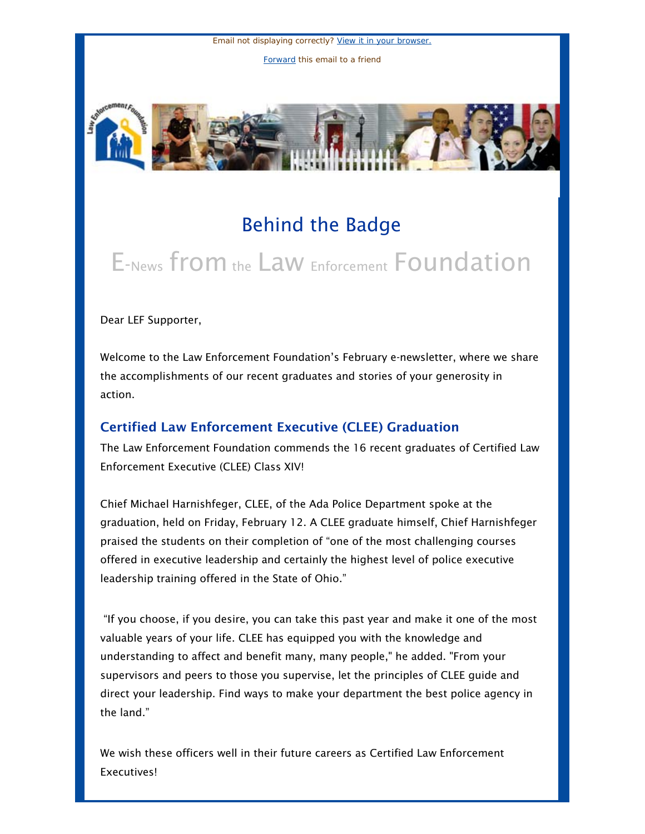Email not displaying correctly? [View it in your browser.](http://us1.campaign-archive.com/?u=55c80ada11d0a6c64310bc76a&id=b3e7cd3a14&e=366229f65c) [Forward](http://us1.forward-to-friend.com/forward?u=55c80ada11d0a6c64310bc76a&id=b3e7cd3a14&e=366229f65c) this email to a friend



# Behind the Badge

# E-News from the Law Enforcement Foundation

Dear LEF Supporter,

Welcome to the Law Enforcement Foundation's February e-newsletter, where we share the accomplishments of our recent graduates and stories of your generosity in action.

## Certified Law Enforcement Executive (CLEE) Graduation

The Law Enforcement Foundation commends the 16 recent graduates of Certified Law Enforcement Executive (CLEE) Class XIV!

Chief Michael Harnishfeger, CLEE, of the Ada Police Department spoke at the graduation, held on Friday, February 12. A CLEE graduate himself, Chief Harnishfeger praised the students on their completion of "one of the most challenging courses offered in executive leadership and certainly the highest level of police executive leadership training offered in the State of Ohio."

 "If you choose, if you desire, you can take this past year and make it one of the most valuable years of your life. CLEE has equipped you with the knowledge and understanding to affect and benefit many, many people," he added. "From your supervisors and peers to those you supervise, let the principles of CLEE guide and direct your leadership. Find ways to make your department the best police agency in the land."

We wish these officers well in their future careers as Certified Law Enforcement Executives!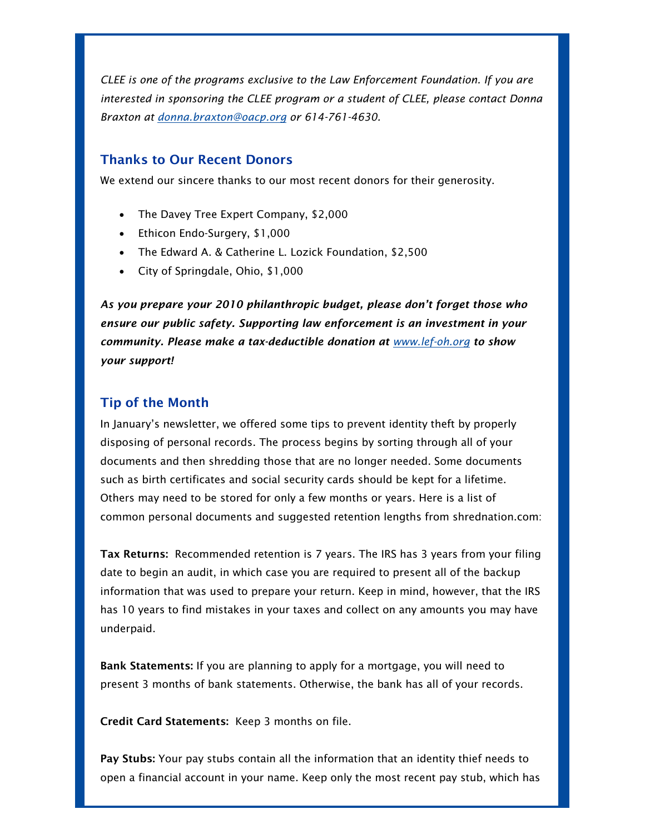*CLEE is one of the programs exclusive to the Law Enforcement Foundation. If you are interested in sponsoring the CLEE program or a student of CLEE, please contact Donna Braxton at [donna.braxton@oacp.org](mailto:donna.braxton@oacp.org) or 614-761-4630.*

### Thanks to Our Recent Donors

We extend our sincere thanks to our most recent donors for their generosity.

- The Davey Tree Expert Company, \$2,000
- Ethicon Endo-Surgery, \$1,000
- The Edward A. & Catherine L. Lozick Foundation, \$2,500
- City of Springdale, Ohio, \$1,000

*As you prepare your 2010 philanthropic budget, please don't forget those who ensure our public safety. Supporting law enforcement is an investment in your community. Please make a tax-deductible donation at [www.lef-oh.org](http://vote4metroparks.us1.list-manage.com/track/click?u=55c80ada11d0a6c64310bc76a&id=9e0b5561a6&e=366229f65c) to show your support!*

#### Tip of the Month

In January's newsletter, we offered some tips to prevent identity theft by properly disposing of personal records. The process begins by sorting through all of your documents and then shredding those that are no longer needed. Some documents such as birth certificates and social security cards should be kept for a lifetime. Others may need to be stored for only a few months or years. Here is a list of common personal documents and suggested retention lengths from shrednation.com:

Tax Returns: Recommended retention is 7 years. The IRS has 3 years from your filing date to begin an audit, in which case you are required to present all of the backup information that was used to prepare your return. Keep in mind, however, that the IRS has 10 years to find mistakes in your taxes and collect on any amounts you may have underpaid.

Bank Statements: If you are planning to apply for a mortgage, you will need to present 3 months of bank statements. Otherwise, the bank has all of your records.

Credit Card Statements: Keep 3 months on file.

Pay Stubs: Your pay stubs contain all the information that an identity thief needs to open a financial account in your name. Keep only the most recent pay stub, which has